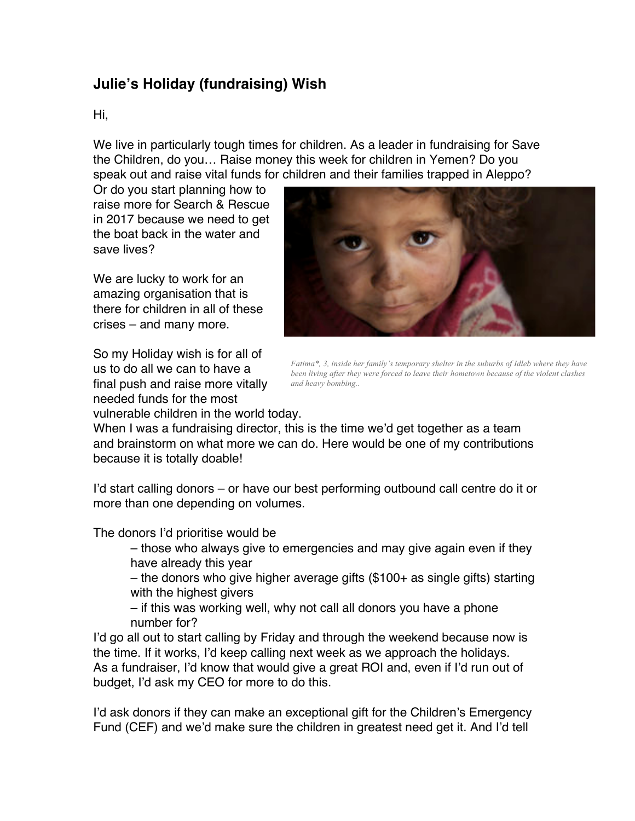## **Julie's Holiday (fundraising) Wish**

## Hi,

We live in particularly tough times for children. As a leader in fundraising for Save the Children, do you… Raise money this week for children in Yemen? Do you speak out and raise vital funds for children and their families trapped in Aleppo?

Or do you start planning how to raise more for Search & Rescue in 2017 because we need to get the boat back in the water and save lives?

We are lucky to work for an amazing organisation that is there for children in all of these crises – and many more.

So my Holiday wish is for all of us to do all we can to have a final push and raise more vitally needed funds for the most vulnerable children in the world today.



*Fatima\*, 3, inside her family's temporary shelter in the suburbs of Idleb where they have been living after they were forced to leave their hometown because of the violent clashes and heavy bombing..*

When I was a fundraising director, this is the time we'd get together as a team and brainstorm on what more we can do. Here would be one of my contributions because it is totally doable!

I'd start calling donors – or have our best performing outbound call centre do it or more than one depending on volumes.

The donors I'd prioritise would be

– those who always give to emergencies and may give again even if they have already this year

– the donors who give higher average gifts (\$100+ as single gifts) starting with the highest givers

– if this was working well, why not call all donors you have a phone number for?

I'd go all out to start calling by Friday and through the weekend because now is the time. If it works, I'd keep calling next week as we approach the holidays. As a fundraiser, I'd know that would give a great ROI and, even if I'd run out of budget, I'd ask my CEO for more to do this.

I'd ask donors if they can make an exceptional gift for the Children's Emergency Fund (CEF) and we'd make sure the children in greatest need get it. And I'd tell